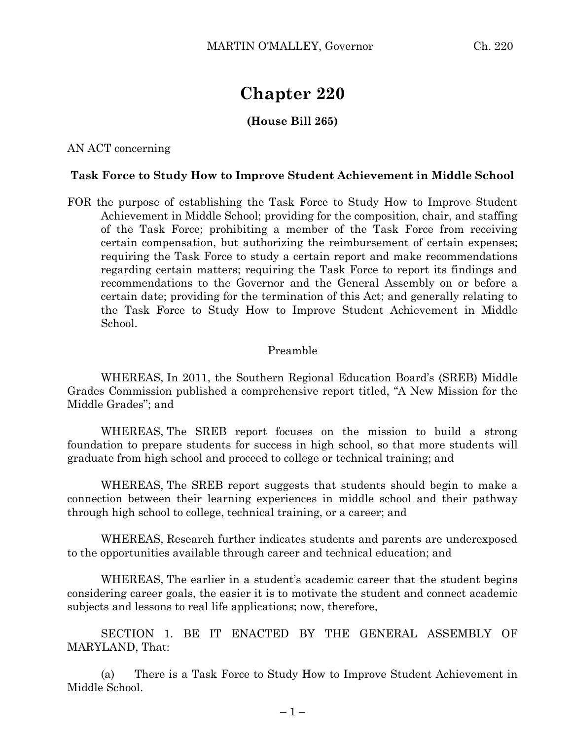# **Chapter 220**

### **(House Bill 265)**

AN ACT concerning

#### **Task Force to Study How to Improve Student Achievement in Middle School**

FOR the purpose of establishing the Task Force to Study How to Improve Student Achievement in Middle School; providing for the composition, chair, and staffing of the Task Force; prohibiting a member of the Task Force from receiving certain compensation, but authorizing the reimbursement of certain expenses; requiring the Task Force to study a certain report and make recommendations regarding certain matters; requiring the Task Force to report its findings and recommendations to the Governor and the General Assembly on or before a certain date; providing for the termination of this Act; and generally relating to the Task Force to Study How to Improve Student Achievement in Middle School.

#### Preamble

WHEREAS, In 2011, the Southern Regional Education Board's (SREB) Middle Grades Commission published a comprehensive report titled, "A New Mission for the Middle Grades"; and

WHEREAS, The SREB report focuses on the mission to build a strong foundation to prepare students for success in high school, so that more students will graduate from high school and proceed to college or technical training; and

WHEREAS, The SREB report suggests that students should begin to make a connection between their learning experiences in middle school and their pathway through high school to college, technical training, or a career; and

WHEREAS, Research further indicates students and parents are underexposed to the opportunities available through career and technical education; and

WHEREAS, The earlier in a student's academic career that the student begins considering career goals, the easier it is to motivate the student and connect academic subjects and lessons to real life applications; now, therefore,

SECTION 1. BE IT ENACTED BY THE GENERAL ASSEMBLY OF MARYLAND, That:

(a) There is a Task Force to Study How to Improve Student Achievement in Middle School.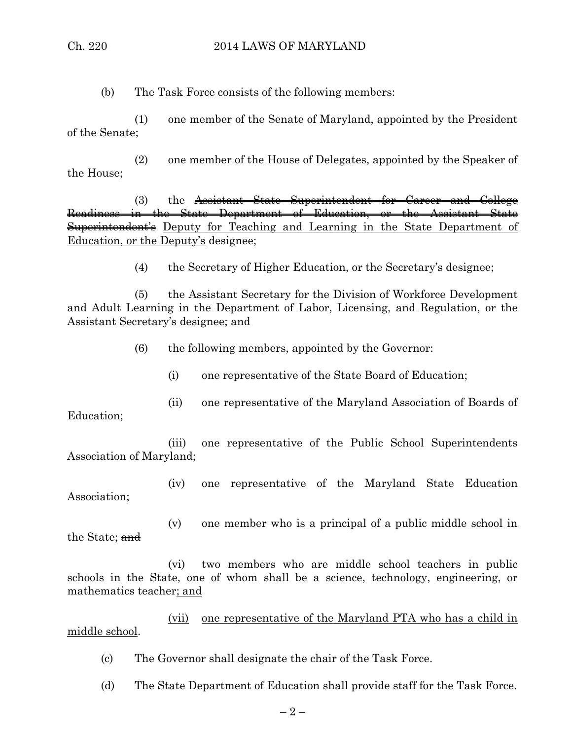(b) The Task Force consists of the following members:

(1) one member of the Senate of Maryland, appointed by the President of the Senate;

(2) one member of the House of Delegates, appointed by the Speaker of the House;

(3) the Assistant State Superintendent for Career and College Readiness in the State Department of Education, or the Assistant State Superintendent's Deputy for Teaching and Learning in the State Department of Education, or the Deputy's designee;

(4) the Secretary of Higher Education, or the Secretary's designee;

(5) the Assistant Secretary for the Division of Workforce Development and Adult Learning in the Department of Labor, Licensing, and Regulation, or the Assistant Secretary's designee; and

(6) the following members, appointed by the Governor:

- (i) one representative of the State Board of Education;
- (ii) one representative of the Maryland Association of Boards of

Education;

(iii) one representative of the Public School Superintendents Association of Maryland;

(iv) one representative of the Maryland State Education Association;

the State; and

(v) one member who is a principal of a public middle school in

(vi) two members who are middle school teachers in public schools in the State, one of whom shall be a science, technology, engineering, or mathematics teacher; and

(vii) one representative of the Maryland PTA who has a child in middle school.

(c) The Governor shall designate the chair of the Task Force.

(d) The State Department of Education shall provide staff for the Task Force.